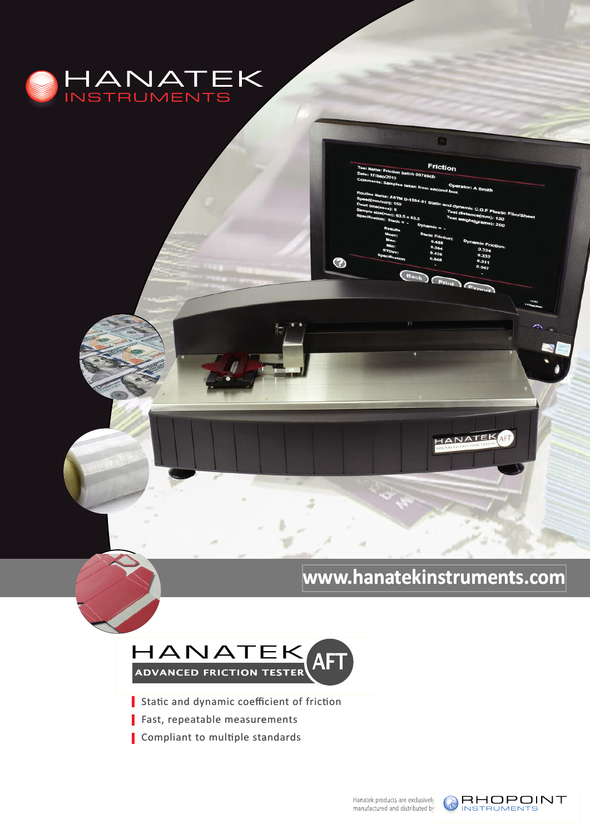

## **<www.hanatekinstruments.com> www.hana .hanatekinstrumen ts.com**

ANATER

i o

Friction

 $\overline{R}$ 

⊙



- 
- **K**ast, repeatable measurements
- **Example 31** Compliant to multiple standards

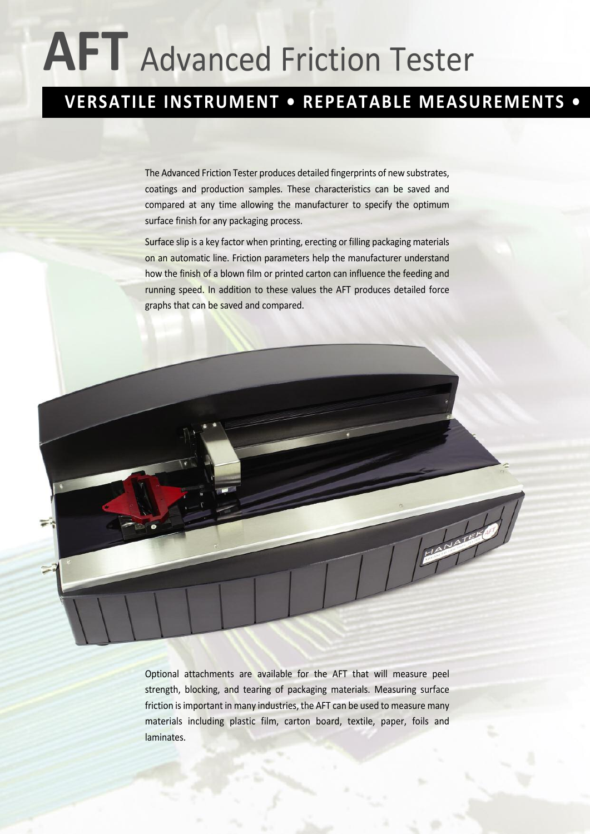# **AFT** Advanced Friction Tester

## **VERSATILE INSTRUMENT • REPEATABLE MEASUREMENTS •**

The Advanced Friction Tester produces detailed fingerprints of new substrates, coatings and production samples. These characteristics can be saved and compared at any time allowing the manufacturer to specify the optimum surface finish for any packaging process.

Surface slip is a key factor when printing, erecting or filling packaging materials on an automatic line. Friction parameters help the manufacturer understand how the finish of a blown film or printed carton can influence the feeding and running speed. In addition to these values the AFT produces detailed force graphs that can be saved and compared.



Optional attachments are available for the AFT that will measure peel strength, blocking, and tearing of packaging materials. Measuring surface friction is important in many industries, the AFT can be used to measure many materials including plastic film, carton board, textile, paper, foils and laminates.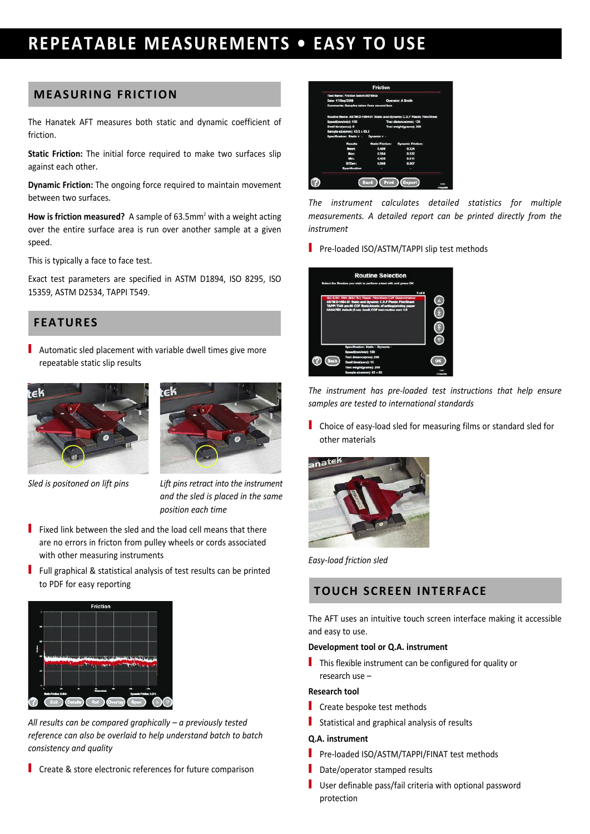## **REPEATABLE MEASUREMENTS • EASY To USE**

#### **MEASURINg FRIcTIoN**

The Hanatek AFT measures both static and dynamic coefficient of friction.

**Static Friction:** The initial force required to make two surfaces slip against each other.

**Dynamic Friction:** The ongoing force required to maintain movement between two surfaces.

**How is friction measured?** A sample of 63.5mm<sup>2</sup> with a weight acting over the entire surface area is run over another sample at a given speed.

This is typically a face to face test.

Exact test parameters are specified in ASTM D1894, ISO 8295, ISO 15359, ASTM D2534, TAPPI T549.

#### **FEATURES**

Automatic sled placement with variable dwell times give more repeatable static slip results



*Sled is positoned on lift pins Lift pins retract into the instrument and the sled is placed in the same position each time*

- **Fixed link between the sled and the load cell means that there** are no errors in fricton from pulley wheels or cords associated with other measuring instruments
- Full graphical & statistical analysis of test results can be printed to PDF for easy reporting **ToUch ScREEN INTERFAcE**



*All results can be compared graphically – a previously tested reference can also be overlaid to help understand batch to batch consistency and quality*

**Create & store electronic references for future comparison** 



*The instrument calculates detailed statistics for multiple measurements. A detailed report can be printed directly from the instrument*

Pre-loaded ISO/ASTM/TAPPI slip test methods



*The instrument has pre-loaded test instructions that help ensure samples are tested to international standards*

**Choice of easy-load sled for measuring films or standard sled for** other materials



*Easy-load friction sled*

The AFT uses an intuitive touch screen interface making it accessible and easy to use.

#### **Development tool or Q.A. instrument**

 $\blacksquare$  This flexible instrument can be configured for quality or research use –

#### **Research tool**

- $\blacksquare$  Create bespoke test methods
- Statistical and graphical analysis of results

#### **Q.A. instrument**

- Pre-loaded ISO/ASTM/TAPPI/FINAT test methods
- $\Box$  Date/operator stamped results
- $\blacksquare$  User definable pass/fail criteria with optional password protection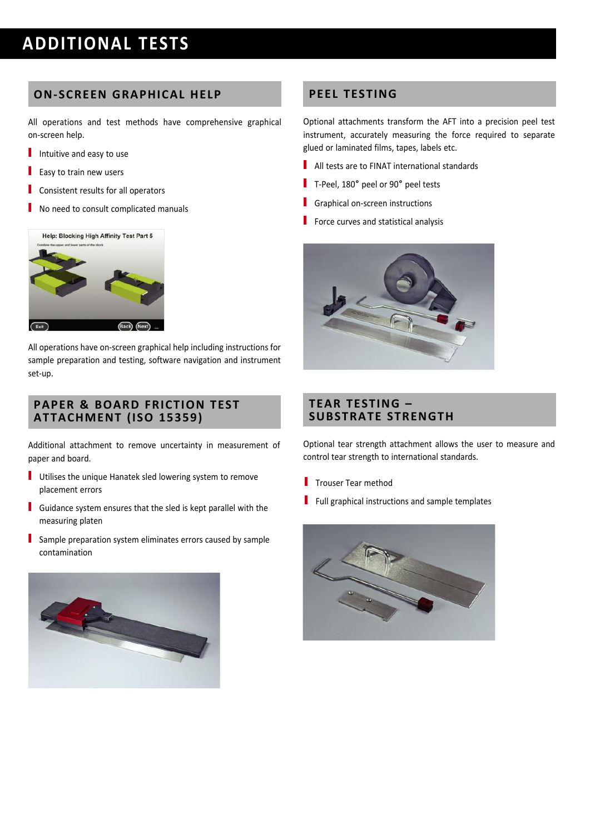## **ADDITIoNAL TESTS**

#### **oN-ScREEN gRAPhIcAL hELP**

All operations and test methods have comprehensive graphical on-screen help.

- Intuitive and easy to use
- $\blacksquare$  Easy to train new users
- $\blacksquare$  Consistent results for all operators
- No need to consult complicated manuals



All operations have on-screen graphical help including instructions for sample preparation and testing, software navigation and instrument set-up.

#### **PAPER & BoARD FRIcTIoN TEST ATTAchMENT (ISo 15359)**

Additional attachment to remove uncertainty in measurement of paper and board.

- Utilises the unique Hanatek sled lowering system to remove placement errors
- Guidance system ensures that the sled is kept parallel with the measuring platen
- Sample preparation system eliminates errors caused by sample contamination



#### **PEEL TESTINg**

Optional attachments transform the AFT into a precision peel test instrument, accurately measuring the force required to separate glued or laminated films, tapes, labels etc.

- $\blacksquare$  All tests are to FINAT international standards
- T-Peel, 180° peel or 90° peel tests
- Graphical on-screen instructions
- $\blacksquare$  Force curves and statistical analysis



#### **TEAR TESTINg – SUBSTRATE STRENgTh**

Optional tear strength attachment allows the user to measure and control tear strength to international standards.

- $\blacksquare$  Trouser Tear method
- $\blacksquare$  Full graphical instructions and sample templates

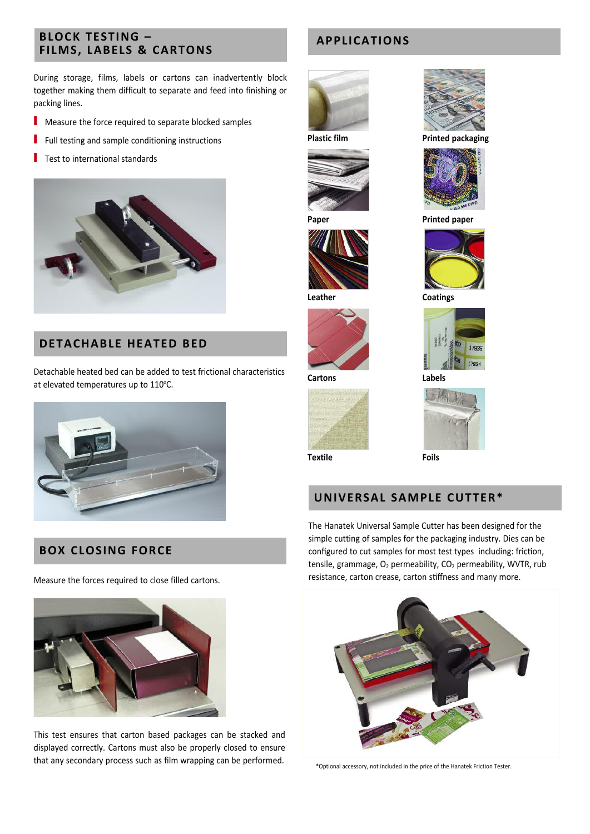# **BLock TESTINg – FILMS, LABELS & cARToNS**

During storage, films, labels or cartons can inadvertently block together making them difficult to separate and feed into finishing or packing lines.

- $\blacksquare$  Measure the force required to separate blocked samples
- $\blacksquare$  Full testing and sample conditioning instructions
- $\blacksquare$  Test to international standards



#### **DETAchABLE hEATED BED**

Detachable heated bed can be added to test frictional characteristics at elevated temperatures up to  $110^{\circ}$ C.



#### **BoX cLoSINg FoRcE**

Measure the forces required to close filled cartons.



This test ensures that carton based packages can be stacked and displayed correctly. Cartons must also be properly closed to ensure that any secondary process such as film wrapping can be performed.

#### **APPLIcATIoNS**







**Leather coatings**



**cartons Labels**



**Textile Foils**

#### **UNIVERSAL SAMPLE cUTTER\***

The Hanatek Universal Sample Cutter has been designed for the simple cutting of samples for the packaging industry. Dies can be configured to cut samples for most test types including: friction, tensile, grammage,  $O_2$  permeability,  $CO_2$  permeability, WVTR, rub resistance, carton crease, carton stiffness and many more.



\*Optional accessory, not included in the price of the Hanatek Friction Tester.



**Plastic film Printed packaging**



**Printed** paper